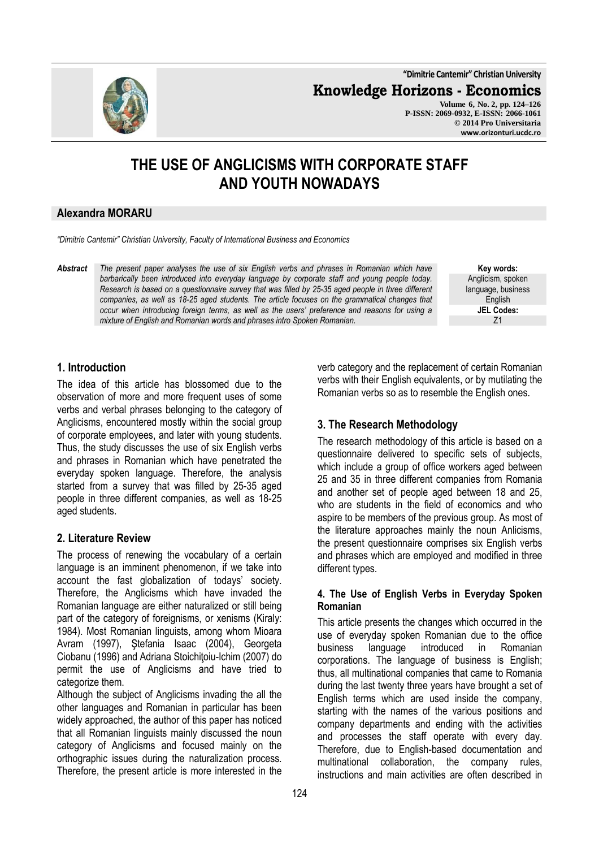**"Dimitrie Cantemir" Christian University**

**Knowledge Horizons - Economics**

**Volume 6, No. 2, pp. 124–126 P-ISSN: 2069-0932, E-ISSN: 2066-1061 © 2014 Pro Universitaria www.orizonturi.ucdc.ro**

# **THE USE OF ANGLICISMS WITH CORPORATE STAFF AND YOUTH NOWADAYS**

### **Alexandra MORARU**

*"Dimitrie Cantemir" Christian University, Faculty of International Business and Economics*

*Abstract The present paper analyses the use of six English verbs and phrases in Romanian which have barbarically been introduced into everyday language by corporate staff and young people today. Research is based on a questionnaire survey that was filled by 25-35 aged people in three different companies, as well as 18-25 aged students. The article focuses on the grammatical changes that occur when introducing foreign terms, as well as the users' preference and reasons for using a mixture of English and Romanian words and phrases intro Spoken Romanian.* 

**Key words:** Anglicism, spoken language, business English **JEL Codes:** Z1

## **1. Introduction**

The idea of this article has blossomed due to the observation of more and more frequent uses of some verbs and verbal phrases belonging to the category of Anglicisms, encountered mostly within the social group of corporate employees, and later with young students. Thus, the study discusses the use of six English verbs and phrases in Romanian which have penetrated the everyday spoken language. Therefore, the analysis started from a survey that was filled by 25-35 aged people in three different companies, as well as 18-25 aged students.

## **2. Literature Review**

The process of renewing the vocabulary of a certain language is an imminent phenomenon, if we take into account the fast globalization of todays' society. Therefore, the Anglicisms which have invaded the Romanian language are either naturalized or still being part of the category of foreignisms, or xenisms (Kiraly: 1984). Most Romanian linguists, among whom Mioara Avram (1997), Ştefania Isaac (2004), Georgeta Ciobanu (1996) and Adriana Stoichitoiu-Ichim (2007) do permit the use of Anglicisms and have tried to categorize them.

Although the subject of Anglicisms invading the all the other languages and Romanian in particular has been widely approached, the author of this paper has noticed that all Romanian linguists mainly discussed the noun category of Anglicisms and focused mainly on the orthographic issues during the naturalization process. Therefore, the present article is more interested in the

verb category and the replacement of certain Romanian verbs with their English equivalents, or by mutilating the Romanian verbs so as to resemble the English ones.

## **3. The Research Methodology**

The research methodology of this article is based on a questionnaire delivered to specific sets of subjects, which include a group of office workers aged between 25 and 35 in three different companies from Romania and another set of people aged between 18 and 25, who are students in the field of economics and who aspire to be members of the previous group. As most of the literature approaches mainly the noun Anlicisms, the present questionnaire comprises six English verbs and phrases which are employed and modified in three different types.

### **4. The Use of English Verbs in Everyday Spoken Romanian**

This article presents the changes which occurred in the use of everyday spoken Romanian due to the office business language introduced in Romanian corporations. The language of business is English; thus, all multinational companies that came to Romania during the last twenty three years have brought a set of English terms which are used inside the company, starting with the names of the various positions and company departments and ending with the activities and processes the staff operate with every day. Therefore, due to English-based documentation and multinational collaboration, the company rules, instructions and main activities are often described in

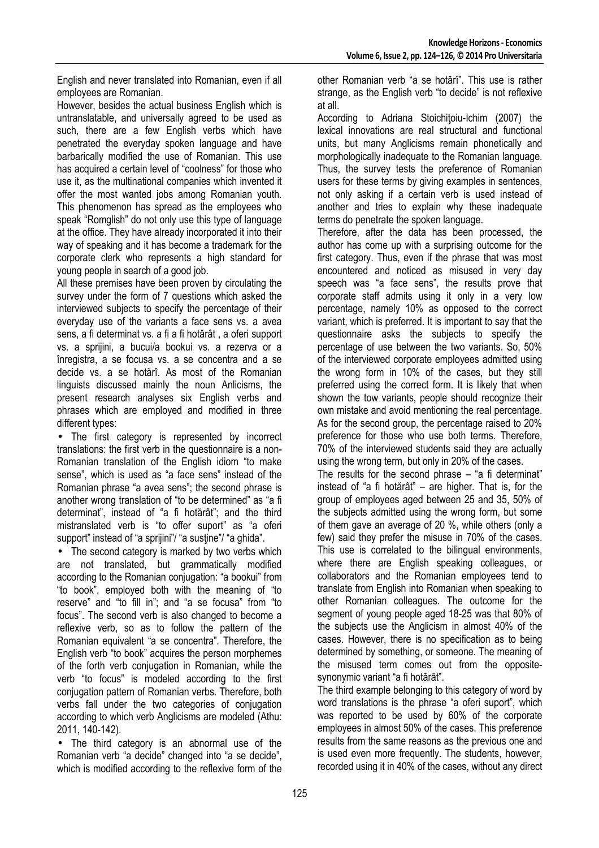English and never translated into Romanian, even if all employees are Romanian.

However, besides the actual business English which is untranslatable, and universally agreed to be used as such, there are a few English verbs which have penetrated the everyday spoken language and have barbarically modified the use of Romanian. This use has acquired a certain level of "coolness" for those who use it, as the multinational companies which invented it offer the most wanted jobs among Romanian youth. This phenomenon has spread as the employees who speak "Romglish" do not only use this type of language at the office. They have already incorporated it into their way of speaking and it has become a trademark for the corporate clerk who represents a high standard for young people in search of a good job.

All these premises have been proven by circulating the survey under the form of 7 questions which asked the interviewed subjects to specify the percentage of their everyday use of the variants a face sens vs. a avea sens, a fi determinat vs. a fi a fi hotărât , a oferi support vs. a sprijini, a bucui/a bookui vs. a rezerva or a înregistra, a se focusa vs. a se concentra and a se decide vs. a se hotărî. As most of the Romanian linguists discussed mainly the noun Anlicisms, the present research analyses six English verbs and phrases which are employed and modified in three different types:

• The first category is represented by incorrect translations: the first verb in the questionnaire is a non-Romanian translation of the English idiom "to make sense", which is used as "a face sens" instead of the Romanian phrase "a avea sens"; the second phrase is another wrong translation of "to be determined" as "a fi determinat", instead of "a fi hotărât"; and the third mistranslated verb is "to offer suport" as "a oferi support" instead of "a sprijini"/ "a sustine"/ "a ghida".

• The second category is marked by two verbs which are not translated, but grammatically modified according to the Romanian conjugation: "a bookui" from "to book", employed both with the meaning of "to reserve" and "to fill in"; and "a se focusa" from "to focus". The second verb is also changed to become a reflexive verb, so as to follow the pattern of the Romanian equivalent "a se concentra". Therefore, the English verb "to book" acquires the person morphemes of the forth verb conjugation in Romanian, while the verb "to focus" is modeled according to the first conjugation pattern of Romanian verbs. Therefore, both verbs fall under the two categories of conjugation according to which verb Anglicisms are modeled (Athu: 2011, 140-142).

• The third category is an abnormal use of the Romanian verb "a decide" changed into "a se decide", which is modified according to the reflexive form of the other Romanian verb "a se hotărî". This use is rather strange, as the English verb "to decide" is not reflexive at all.

According to Adriana Stoichitoiu-Ichim (2007) the lexical innovations are real structural and functional units, but many Anglicisms remain phonetically and morphologically inadequate to the Romanian language. Thus, the survey tests the preference of Romanian users for these terms by giving examples in sentences, not only asking if a certain verb is used instead of another and tries to explain why these inadequate terms do penetrate the spoken language.

Therefore, after the data has been processed, the author has come up with a surprising outcome for the first category. Thus, even if the phrase that was most encountered and noticed as misused in very day speech was "a face sens", the results prove that corporate staff admits using it only in a very low percentage, namely 10% as opposed to the correct variant, which is preferred. It is important to say that the questionnaire asks the subjects to specify the percentage of use between the two variants. So, 50% of the interviewed corporate employees admitted using the wrong form in 10% of the cases, but they still preferred using the correct form. It is likely that when shown the tow variants, people should recognize their own mistake and avoid mentioning the real percentage. As for the second group, the percentage raised to 20% preference for those who use both terms. Therefore, 70% of the interviewed students said they are actually using the wrong term, but only in 20% of the cases.

The results for the second phrase  $-$  "a fi determinat" instead of "a fi hotărât" – are higher. That is, for the group of employees aged between 25 and 35, 50% of the subjects admitted using the wrong form, but some of them gave an average of 20 %, while others (only a few) said they prefer the misuse in 70% of the cases. This use is correlated to the bilingual environments, where there are English speaking colleagues, or collaborators and the Romanian employees tend to translate from English into Romanian when speaking to other Romanian colleagues. The outcome for the segment of young people aged 18-25 was that 80% of the subjects use the Anglicism in almost 40% of the cases. However, there is no specification as to being determined by something, or someone. The meaning of the misused term comes out from the oppositesynonymic variant "a fi hotărât".

The third example belonging to this category of word by word translations is the phrase "a oferi suport", which was reported to be used by 60% of the corporate employees in almost 50% of the cases. This preference results from the same reasons as the previous one and is used even more frequently. The students, however, recorded using it in 40% of the cases, without any direct